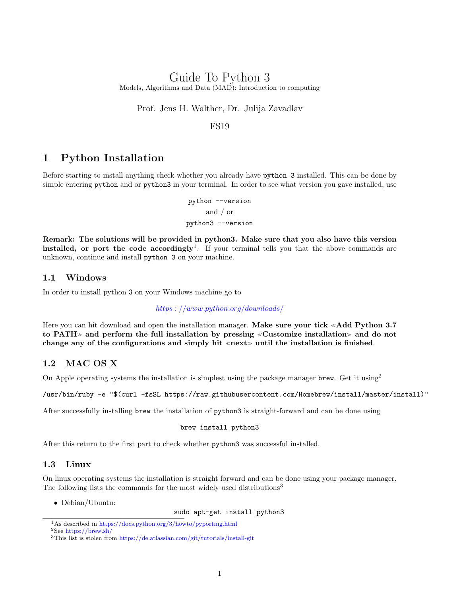## Guide To Python 3 Models, Algorithms and Data (MAD): Introduction to computing

Prof. Jens H. Walther, Dr. Julija Zavadlav

FS19

## 1 Python Installation

Before starting to install anything check whether you already have python 3 installed. This can be done by simple entering python and or python3 in your terminal. In order to see what version you gave installed, use

> python --version and / or python3 --version

Remark: The solutions will be provided in python3. Make sure that you also have this version installed, or port the code accordingly<sup>[1](#page-0-0)</sup>. If your terminal tells you that the above commands are unknown, continue and install python 3 on your machine.

#### 1.1 Windows

In order to install python 3 on your Windows machine go to

https : [//www.python.org/downloads/](https://www.python.org/downloads/)

Here you can hit download and open the installation manager. Make sure your tick «Add Python 3.7 to PATH $\gg$  and perform the full installation by pressing «Customize installation» and do not change any of the configurations and simply hit  $\langle \text{next} \rangle$  until the installation is finished.

#### 1.2 MAC OS X

On Apple operating systems the installation is simplest using the package manager brew. Get it using<sup>[2](#page-0-1)</sup>

/usr/bin/ruby -e "\$(curl -fsSL https://raw.githubusercontent.com/Homebrew/install/master/install)"

After successfully installing brew the installation of python3 is straight-forward and can be done using

#### brew install python3

After this return to the first part to check whether python3 was successful installed.

### 1.3 Linux

On linux operating systems the installation is straight forward and can be done using your package manager. The following lists the commands for the most widely used distributions<sup>[3](#page-0-2)</sup>

• Debian/Ubuntu:

sudo apt-get install python3

<span id="page-0-0"></span><sup>1</sup>As described in <https://docs.python.org/3/howto/pyporting.html>

<span id="page-0-1"></span><sup>2</sup>See <https://brew.sh/>

<span id="page-0-2"></span><sup>3</sup>This list is stolen from <https://de.atlassian.com/git/tutorials/install-git>